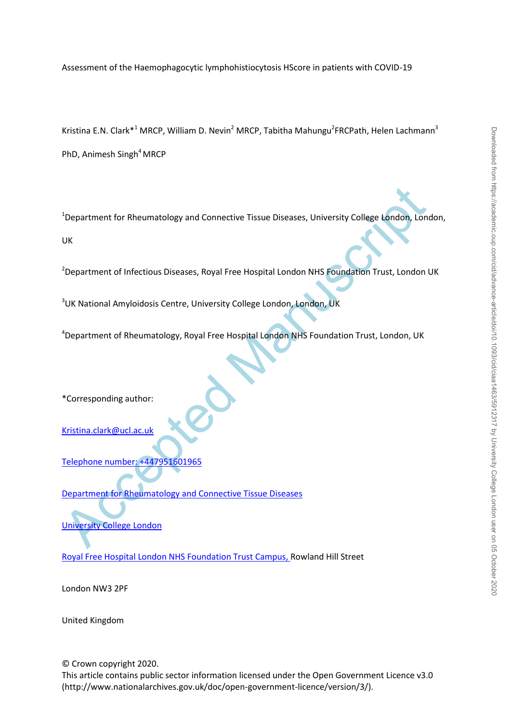Assessment of the Haemophagocytic lymphohistiocytosis HScore in patients with COVID-19

Kristina E.N. Clark<sup>\*1</sup> MRCP, William D. Nevin<sup>2</sup> MRCP, Tabitha Mahungu<sup>2</sup>FRCPath, Helen Lachmann<sup>3</sup> PhD, Animesh Singh<sup>4</sup> MRCP

Chinamatology and Connective Tissue Diseases, University College London, London<br>
Vietnament of Infectious Diseases, Royal Free Hospital London NHS Foundation Trust, London<br>
Chinamatology School Free Hospital London, London <sup>1</sup>Department for Rheumatology and Connective Tissue Diseases, University College London, London, UK

<sup>2</sup> Department of Infectious Diseases, Royal Free Hospital London NHS Foundation Trust, London UK

<sup>3</sup>UK National Amyloidosis Centre, University College London, London, UK

<sup>4</sup>Department of Rheumatology, Royal Free Hospital London NHS Foundation Trust, London, UK

\*Corresponding author:

Kristina.clark@ucl.ac.uk

Telephone number: +447951601965

Department for Rheumatology and Connective Tissue Diseases

University College London

Royal Free Hospital London NHS Foundation Trust Campus, Rowland Hill Street

London NW3 2PF

United Kingdom

© Crown copyright 2020. This article contains public sector information licensed under the Open Government Licence v3.0 (http://www.nationalarchives.gov.uk/doc/open-government-licence/version/3/).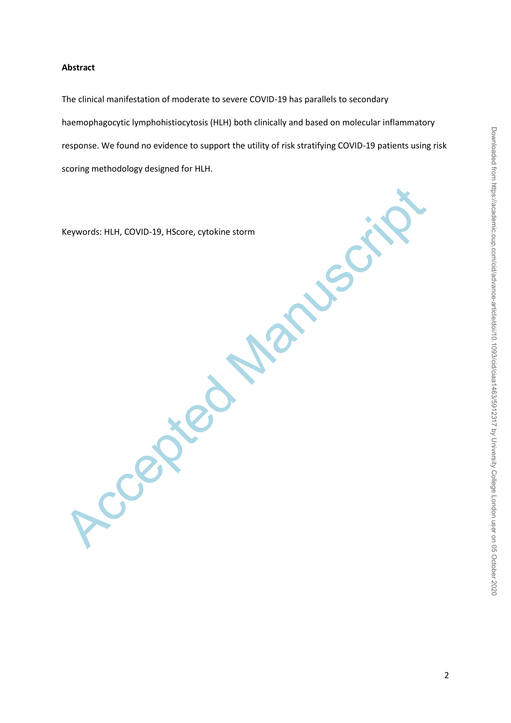# **Abstract**

The clinical manifestation of moderate to severe COVID-19 has parallels to secondary haemophagocytic lymphohistiocytosis (HLH) both clinically and based on molecular inflammatory response. We found no evidence to support the utility of risk stratifying COVID-19 patients using risk scoring methodology designed for HLH.

Treated Manuscript Keywords: HLH, COVID-19, HScore, cytokine storm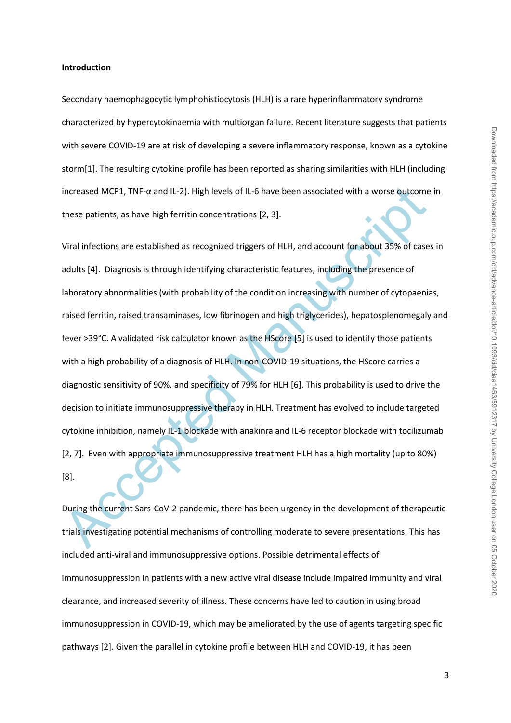#### **Introduction**

Secondary haemophagocytic lymphohistiocytosis (HLH) is a rare hyperinflammatory syndrome characterized by hypercytokinaemia with multiorgan failure. Recent literature suggests that patients with severe COVID-19 are at risk of developing a severe inflammatory response, known as a cytokine storm[1]. The resulting cytokine profile has been reported as sharing similarities with HLH (including increased MCP1, TNF-α and IL-2). High levels of IL-6 have been associated with a worse outcome in these patients, as have high ferritin concentrations [2, 3].

increased MCP1, TNF-a and IL-2). High levels of IL-6 have been associated with a worse outcome<br>these patients, as have high ferritin concentrations [2, 3].<br>Viral infections are established as recognized triggers of HLH, an Viral infections are established as recognized triggers of HLH, and account for about 35% of cases in adults [4]. Diagnosis is through identifying characteristic features, including the presence of laboratory abnormalities (with probability of the condition increasing with number of cytopaenias, raised ferritin, raised transaminases, low fibrinogen and high triglycerides), hepatosplenomegaly and fever >39°C. A validated risk calculator known as the HScore [5] is used to identify those patients with a high probability of a diagnosis of HLH. In non-COVID-19 situations, the HScore carries a diagnostic sensitivity of 90%, and specificity of 79% for HLH [6]. This probability is used to drive the decision to initiate immunosuppressive therapy in HLH. Treatment has evolved to include targeted cytokine inhibition, namely IL-1 blockade with anakinra and IL-6 receptor blockade with tocilizumab [2, 7]. Even with appropriate immunosuppressive treatment HLH has a high mortality (up to 80%) [8].

During the current Sars-CoV-2 pandemic, there has been urgency in the development of therapeutic trials investigating potential mechanisms of controlling moderate to severe presentations. This has included anti-viral and immunosuppressive options. Possible detrimental effects of immunosuppression in patients with a new active viral disease include impaired immunity and viral clearance, and increased severity of illness. These concerns have led to caution in using broad immunosuppression in COVID-19, which may be ameliorated by the use of agents targeting specific pathways [2]. Given the parallel in cytokine profile between HLH and COVID-19, it has been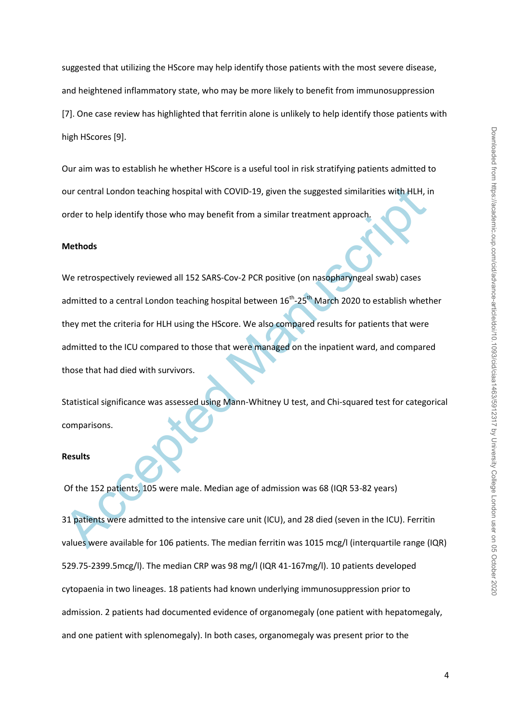suggested that utilizing the HScore may help identify those patients with the most severe disease, and heightened inflammatory state, who may be more likely to benefit from immunosuppression [7]. One case review has highlighted that ferritin alone is unlikely to help identify those patients with high HScores [9].

Our aim was to establish he whether HScore is a useful tool in risk stratifying patients admitted to our central London teaching hospital with COVID-19, given the suggested similarities with HLH, in order to help identify those who may benefit from a similar treatment approach.

#### **Methods**

our central London teaching hospital with COVID-19, given the suggested similarities with HLH, is<br>order to help identify those who may benefit from a similar treatment approach,<br>**Methods**<br>We retrospectively reviewed all 15 We retrospectively reviewed all 152 SARS-Cov-2 PCR positive (on nasopharyngeal swab) cases admitted to a central London teaching hospital between 16<sup>th</sup>-25<sup>th</sup> March 2020 to establish whether they met the criteria for HLH using the HScore. We also compared results for patients that were admitted to the ICU compared to those that were managed on the inpatient ward, and compared those that had died with survivors.

Statistical significance was assessed using Mann-Whitney U test, and Chi-squared test for categorical comparisons.

#### **Results**

Of the 152 patients, 105 were male. Median age of admission was 68 (IQR 53-82 years)

31 patients were admitted to the intensive care unit (ICU), and 28 died (seven in the ICU). Ferritin values were available for 106 patients. The median ferritin was 1015 mcg/l (interquartile range (IQR) 529.75-2399.5mcg/l). The median CRP was 98 mg/l (IQR 41-167mg/l). 10 patients developed cytopaenia in two lineages. 18 patients had known underlying immunosuppression prior to admission. 2 patients had documented evidence of organomegaly (one patient with hepatomegaly, and one patient with splenomegaly). In both cases, organomegaly was present prior to the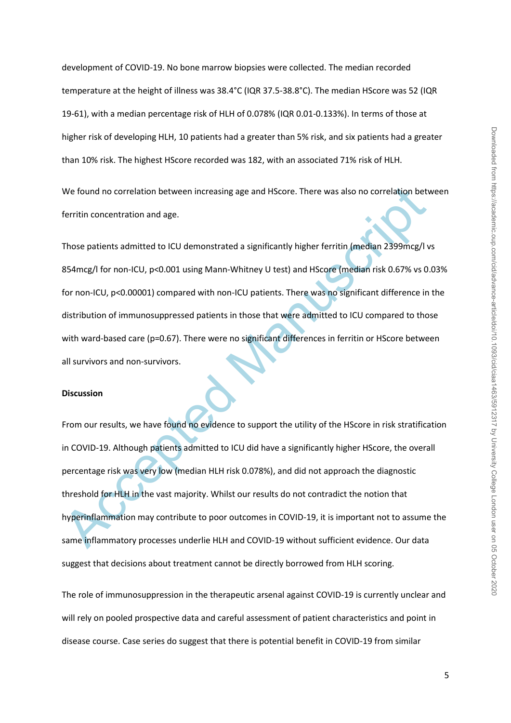development of COVID-19. No bone marrow biopsies were collected. The median recorded temperature at the height of illness was 38.4°C (IQR 37.5-38.8°C). The median HScore was 52 (IQR 19-61), with a median percentage risk of HLH of 0.078% (IQR 0.01-0.133%). In terms of those at higher risk of developing HLH, 10 patients had a greater than 5% risk, and six patients had a greater than 10% risk. The highest HScore recorded was 182, with an associated 71% risk of HLH. We found no correlation between increasing age and HScore. There was also no correlation between

ferritin concentration and age.

Those patients admitted to ICU demonstrated a significantly higher ferritin (median 2399mcg/l vs 854mcg/l for non-ICU, p<0.001 using Mann-Whitney U test) and HScore (median risk 0.67% vs 0.03% for non-ICU, p<0.00001) compared with non-ICU patients. There was no significant difference in the distribution of immunosuppressed patients in those that were admitted to ICU compared to those with ward-based care (p=0.67). There were no significant differences in ferritin or HScore between all survivors and non-survivors.

## **Discussion**

We found no correlation between increasing age and HScore. There was also no correlation between<br>Ferritin concentration and age.<br>Those patients admitted to ICU demonstrated a significantly higher ferritin (median 2399mcg/l From our results, we have found no evidence to support the utility of the HScore in risk stratification in COVID-19. Although patients admitted to ICU did have a significantly higher HScore, the overall percentage risk was very low (median HLH risk 0.078%), and did not approach the diagnostic threshold for HLH in the vast majority. Whilst our results do not contradict the notion that hyperinflammation may contribute to poor outcomes in COVID-19, it is important not to assume the same inflammatory processes underlie HLH and COVID-19 without sufficient evidence. Our data suggest that decisions about treatment cannot be directly borrowed from HLH scoring.

The role of immunosuppression in the therapeutic arsenal against COVID-19 is currently unclear and will rely on pooled prospective data and careful assessment of patient characteristics and point in disease course. Case series do suggest that there is potential benefit in COVID-19 from similar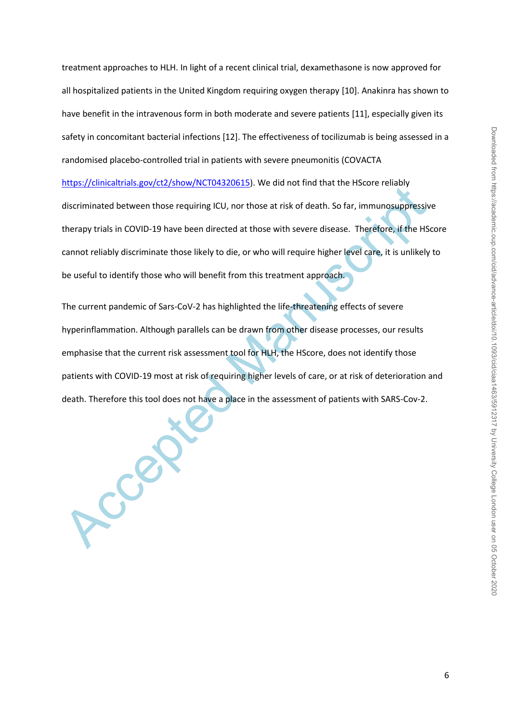treatment approaches to HLH. In light of a recent clinical trial, dexamethasone is now approved for all hospitalized patients in the United Kingdom requiring oxygen therapy [10]. Anakinra has shown to have benefit in the intravenous form in both moderate and severe patients [11], especially given its safety in concomitant bacterial infections [12]. The effectiveness of tocilizumab is being assessed in a randomised placebo-controlled trial in patients with severe pneumonitis (COVACTA https://clinicaltrials.gov/ct2/show/NCT04320615). We did not find that the HScore reliably discriminated between those requiring ICU, nor those at risk of death. So far, immunosuppressive therapy trials in COVID-19 have been directed at those with severe disease. Therefore, if the HScore cannot reliably discriminate those likely to die, or who will require higher level care, it is unlikely to be useful to identify those who will benefit from this treatment approach.

Acceptional and Service Photonic Locations). We do not involve that the ristole remove<br>discriminated between those requiring ICU, nor those at risk of death. So far, immunosuppressive<br>therapy trials in COVID-19 have been d The current pandemic of Sars-CoV-2 has highlighted the life-threatening effects of severe hyperinflammation. Although parallels can be drawn from other disease processes, our results emphasise that the current risk assessment tool for HLH, the HScore, does not identify those patients with COVID-19 most at risk of requiring higher levels of care, or at risk of deterioration and death. Therefore this tool does not have a place in the assessment of patients with SARS-Cov-2.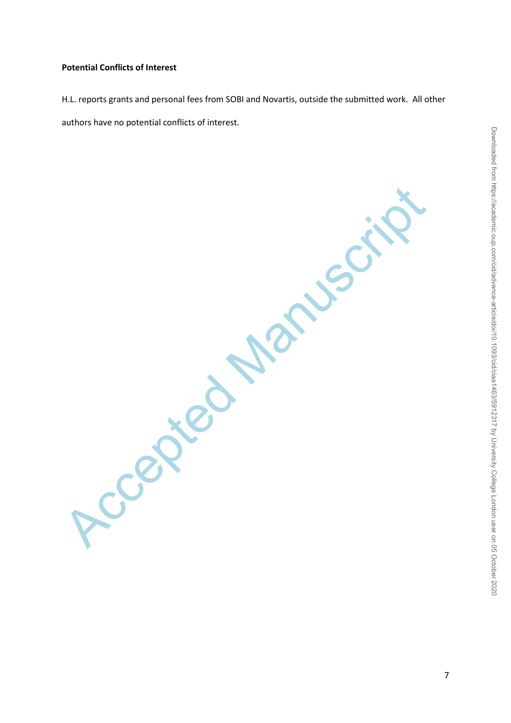# **Potential Conflicts of Interest**

H.L. reports grants and personal fees from SOBI and Novartis, outside the submitted work. All other authors have no potential conflicts of interest.

Located Manuscri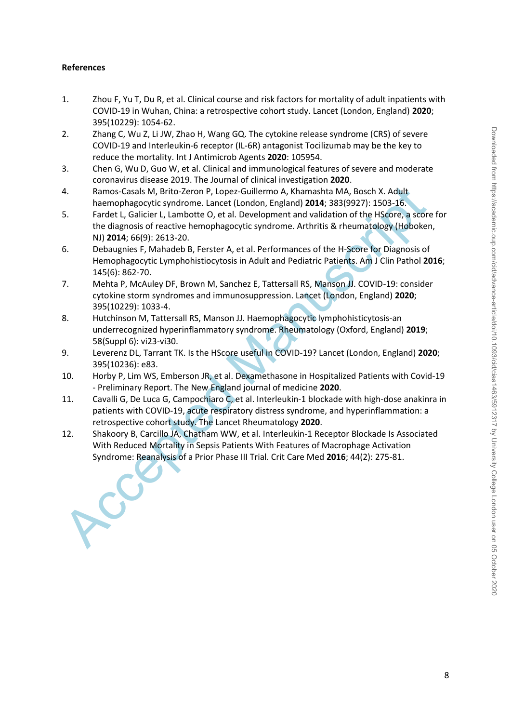### **References**

- 1. Zhou F, Yu T, Du R, et al. Clinical course and risk factors for mortality of adult inpatients with COVID-19 in Wuhan, China: a retrospective cohort study. Lancet (London, England) **2020**; 395(10229): 1054-62.
- 2. Zhang C, Wu Z, Li JW, Zhao H, Wang GQ. The cytokine release syndrome (CRS) of severe COVID-19 and Interleukin-6 receptor (IL-6R) antagonist Tocilizumab may be the key to reduce the mortality. Int J Antimicrob Agents **2020**: 105954.
- 3. Chen G, Wu D, Guo W, et al. Clinical and immunological features of severe and moderate coronavirus disease 2019. The Journal of clinical investigation **2020**.
- 4. Ramos-Casals M, Brito-Zeron P, Lopez-Guillermo A, Khamashta MA, Bosch X. Adult haemophagocytic syndrome. Lancet (London, England) **2014**; 383(9927): 1503-16.
- 5. Fardet L, Galicier L, Lambotte O, et al. Development and validation of the HScore, a score for the diagnosis of reactive hemophagocytic syndrome. Arthritis & rheumatology (Hoboken, NJ) **2014**; 66(9): 2613-20.
- 6. Debaugnies F, Mahadeb B, Ferster A, et al. Performances of the H-Score for Diagnosis of Hemophagocytic Lymphohistiocytosis in Adult and Pediatric Patients. Am J Clin Pathol **2016**; 145(6): 862-70.
- 7. Mehta P, McAuley DF, Brown M, Sanchez E, Tattersall RS, Manson JJ. COVID-19: consider cytokine storm syndromes and immunosuppression. Lancet (London, England) **2020**; 395(10229): 1033-4.
- 8. Hutchinson M, Tattersall RS, Manson JJ. Haemophagocytic lymphohisticytosis-an underrecognized hyperinflammatory syndrome. Rheumatology (Oxford, England) **2019**; 58(Suppl 6): vi23-vi30.
- 9. Leverenz DL, Tarrant TK. Is the HScore useful in COVID-19? Lancet (London, England) **2020**; 395(10236): e83.
- 10. Horby P, Lim WS, Emberson JR, et al. Dexamethasone in Hospitalized Patients with Covid-19 - Preliminary Report. The New England journal of medicine **2020**.
- 11. Cavalli G, De Luca G, Campochiaro C, et al. Interleukin-1 blockade with high-dose anakinra in patients with COVID-19, acute respiratory distress syndrome, and hyperinflammation: a retrospective cohort study. The Lancet Rheumatology **2020**.
- 4.<br>
Ramos-Casals M, Brito-Zeron P, Lopez-Guillermo A, Khamashta MA, Bosch X. Adult<br>
herenophagocyitc syndrome. Lancet (London, England) 2014; 383(9927): 1503-16.<br>
Fardet L, Galicier L, Lambotte O, et al. Development and va 12. Shakoory B, Carcillo JA, Chatham WW, et al. Interleukin-1 Receptor Blockade Is Associated With Reduced Mortality in Sepsis Patients With Features of Macrophage Activation Syndrome: Reanalysis of a Prior Phase III Trial. Crit Care Med **2016**; 44(2): 275-81.